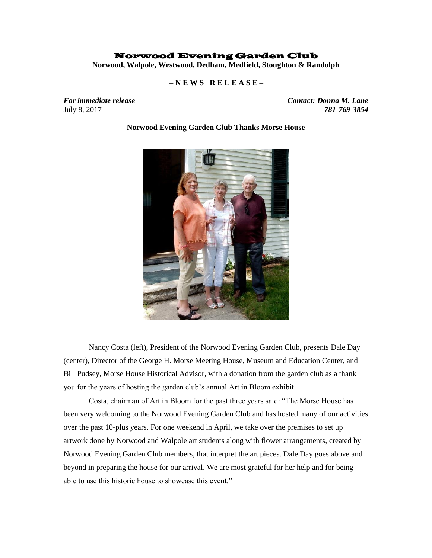## Norwood Evening Garden Club

**Norwood, Walpole, Westwood, Dedham, Medfield, Stoughton & Randolph**

 **– N E W S R E L E A S E –**

*For immediate release Contact: Donna M. Lane*  July 8, 2017 *781-769-3854*

**Norwood Evening Garden Club Thanks Morse House**

Nancy Costa (left), President of the Norwood Evening Garden Club, presents Dale Day (center), Director of the George H. Morse Meeting House, Museum and Education Center, and Bill Pudsey, Morse House Historical Advisor, with a donation from the garden club as a thank you for the years of hosting the garden club's annual Art in Bloom exhibit.

Costa, chairman of Art in Bloom for the past three years said: "The Morse House has been very welcoming to the Norwood Evening Garden Club and has hosted many of our activities over the past 10-plus years. For one weekend in April, we take over the premises to set up artwork done by Norwood and Walpole art students along with flower arrangements, created by Norwood Evening Garden Club members, that interpret the art pieces. Dale Day goes above and beyond in preparing the house for our arrival. We are most grateful for her help and for being able to use this historic house to showcase this event."